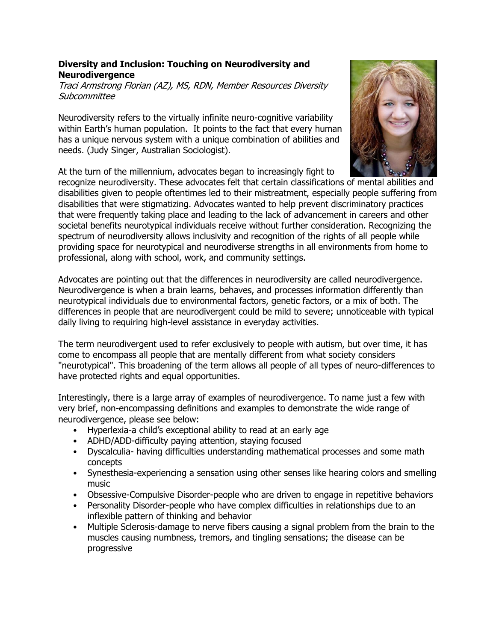## **Diversity and Inclusion: Touching on Neurodiversity and Neurodivergence**

Traci Armstrong Florian (AZ), MS, RDN, Member Resources Diversity **Subcommittee** 

Neurodiversity refers to the virtually infinite neuro-cognitive variability within Earth's human population. It points to the fact that every human has a unique nervous system with a unique combination of abilities and needs. (Judy Singer, Australian Sociologist).

At the turn of the millennium, advocates began to increasingly fight to

recognize neurodiversity. These advocates felt that certain classifications of mental abilities and disabilities given to people oftentimes led to their mistreatment, especially people suffering from disabilities that were stigmatizing. Advocates wanted to help prevent discriminatory practices that were frequently taking place and leading to the lack of advancement in careers and other societal benefits neurotypical individuals receive without further consideration. Recognizing the spectrum of neurodiversity allows inclusivity and recognition of the rights of all people while providing space for neurotypical and neurodiverse strengths in all environments from home to professional, along with school, work, and community settings.

Advocates are pointing out that the differences in neurodiversity are called neurodivergence. Neurodivergence is when a brain learns, behaves, and processes information differently than neurotypical individuals due to environmental factors, genetic factors, or a mix of both. The differences in people that are neurodivergent could be mild to severe; unnoticeable with typical daily living to requiring high-level assistance in everyday activities.

The term neurodivergent used to refer exclusively to people with autism, but over time, it has come to encompass all people that are mentally different from what society considers "neurotypical". This broadening of the term allows all people of all types of neuro-differences to have protected rights and equal opportunities.

Interestingly, there is a large array of examples of neurodivergence. To name just a few with very brief, non-encompassing definitions and examples to demonstrate the wide range of neurodivergence, please see below:

- Hyperlexia-a child's exceptional ability to read at an early age
- ADHD/ADD-difficulty paying attention, staying focused
- Dyscalculia- having difficulties understanding mathematical processes and some math concepts
- Synesthesia-experiencing a sensation using other senses like hearing colors and smelling music
- Obsessive-Compulsive Disorder-people who are driven to engage in repetitive behaviors
- Personality Disorder-people who have complex difficulties in relationships due to an inflexible pattern of thinking and behavior
- Multiple Sclerosis-damage to nerve fibers causing a signal problem from the brain to the muscles causing numbness, tremors, and tingling sensations; the disease can be progressive